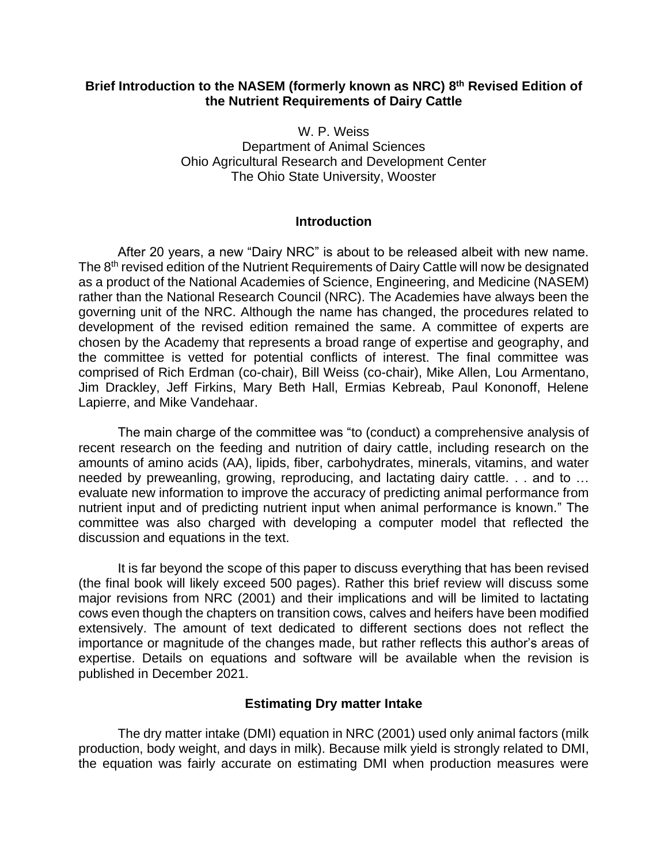## **Brief Introduction to the NASEM (formerly known as NRC) 8 th Revised Edition of the Nutrient Requirements of Dairy Cattle**

W. P. Weiss Department of Animal Sciences Ohio Agricultural Research and Development Center The Ohio State University, Wooster

#### **Introduction**

After 20 years, a new "Dairy NRC" is about to be released albeit with new name. The 8<sup>th</sup> revised edition of the Nutrient Requirements of Dairy Cattle will now be designated as a product of the National Academies of Science, Engineering, and Medicine (NASEM) rather than the National Research Council (NRC). The Academies have always been the governing unit of the NRC. Although the name has changed, the procedures related to development of the revised edition remained the same. A committee of experts are chosen by the Academy that represents a broad range of expertise and geography, and the committee is vetted for potential conflicts of interest. The final committee was comprised of Rich Erdman (co-chair), Bill Weiss (co-chair), Mike Allen, Lou Armentano, Jim Drackley, Jeff Firkins, Mary Beth Hall, Ermias Kebreab, Paul Kononoff, Helene Lapierre, and Mike Vandehaar.

The main charge of the committee was "to (conduct) a comprehensive analysis of recent research on the feeding and nutrition of dairy cattle, including research on the amounts of amino acids (AA), lipids, fiber, carbohydrates, minerals, vitamins, and water needed by preweanling, growing, reproducing, and lactating dairy cattle. . . and to … evaluate new information to improve the accuracy of predicting animal performance from nutrient input and of predicting nutrient input when animal performance is known." The committee was also charged with developing a computer model that reflected the discussion and equations in the text.

It is far beyond the scope of this paper to discuss everything that has been revised (the final book will likely exceed 500 pages). Rather this brief review will discuss some major revisions from NRC (2001) and their implications and will be limited to lactating cows even though the chapters on transition cows, calves and heifers have been modified extensively. The amount of text dedicated to different sections does not reflect the importance or magnitude of the changes made, but rather reflects this author's areas of expertise. Details on equations and software will be available when the revision is published in December 2021.

## **Estimating Dry matter Intake**

The dry matter intake (DMI) equation in NRC (2001) used only animal factors (milk production, body weight, and days in milk). Because milk yield is strongly related to DMI, the equation was fairly accurate on estimating DMI when production measures were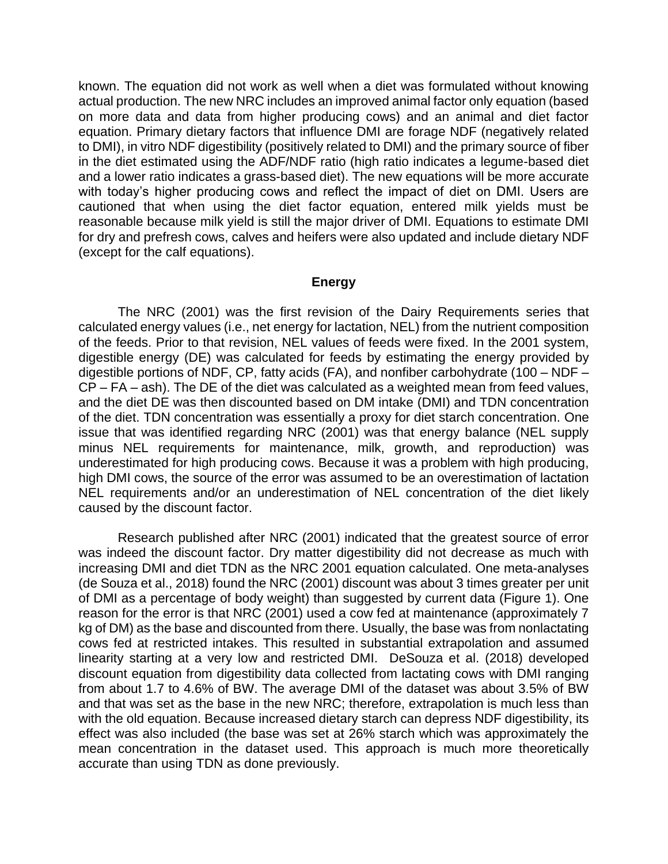known. The equation did not work as well when a diet was formulated without knowing actual production. The new NRC includes an improved animal factor only equation (based on more data and data from higher producing cows) and an animal and diet factor equation. Primary dietary factors that influence DMI are forage NDF (negatively related to DMI), in vitro NDF digestibility (positively related to DMI) and the primary source of fiber in the diet estimated using the ADF/NDF ratio (high ratio indicates a legume-based diet and a lower ratio indicates a grass-based diet). The new equations will be more accurate with today's higher producing cows and reflect the impact of diet on DMI. Users are cautioned that when using the diet factor equation, entered milk yields must be reasonable because milk yield is still the major driver of DMI. Equations to estimate DMI for dry and prefresh cows, calves and heifers were also updated and include dietary NDF (except for the calf equations).

# **Energy**

The NRC (2001) was the first revision of the Dairy Requirements series that calculated energy values (i.e., net energy for lactation, NEL) from the nutrient composition of the feeds. Prior to that revision, NEL values of feeds were fixed. In the 2001 system, digestible energy (DE) was calculated for feeds by estimating the energy provided by digestible portions of NDF, CP, fatty acids (FA), and nonfiber carbohydrate (100 – NDF – CP – FA – ash). The DE of the diet was calculated as a weighted mean from feed values, and the diet DE was then discounted based on DM intake (DMI) and TDN concentration of the diet. TDN concentration was essentially a proxy for diet starch concentration. One issue that was identified regarding NRC (2001) was that energy balance (NEL supply minus NEL requirements for maintenance, milk, growth, and reproduction) was underestimated for high producing cows. Because it was a problem with high producing, high DMI cows, the source of the error was assumed to be an overestimation of lactation NEL requirements and/or an underestimation of NEL concentration of the diet likely caused by the discount factor.

Research published after NRC (2001) indicated that the greatest source of error was indeed the discount factor. Dry matter digestibility did not decrease as much with increasing DMI and diet TDN as the NRC 2001 equation calculated. One meta-analyses (de Souza et al., 2018) found the NRC (2001) discount was about 3 times greater per unit of DMI as a percentage of body weight) than suggested by current data (Figure 1). One reason for the error is that NRC (2001) used a cow fed at maintenance (approximately 7 kg of DM) as the base and discounted from there. Usually, the base was from nonlactating cows fed at restricted intakes. This resulted in substantial extrapolation and assumed linearity starting at a very low and restricted DMI. DeSouza et al. (2018) developed discount equation from digestibility data collected from lactating cows with DMI ranging from about 1.7 to 4.6% of BW. The average DMI of the dataset was about 3.5% of BW and that was set as the base in the new NRC; therefore, extrapolation is much less than with the old equation. Because increased dietary starch can depress NDF digestibility, its effect was also included (the base was set at 26% starch which was approximately the mean concentration in the dataset used. This approach is much more theoretically accurate than using TDN as done previously.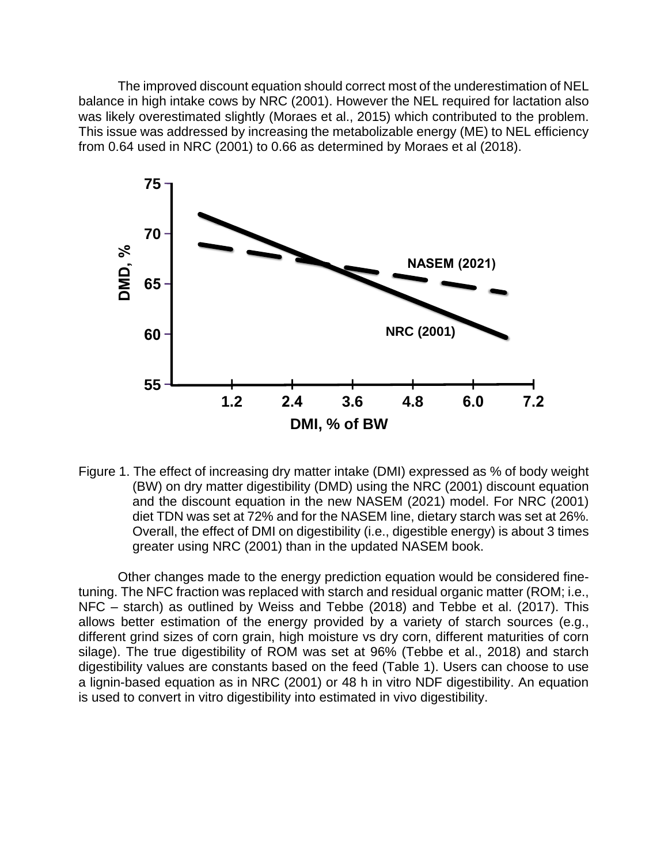The improved discount equation should correct most of the underestimation of NEL balance in high intake cows by NRC (2001). However the NEL required for lactation also was likely overestimated slightly (Moraes et al., 2015) which contributed to the problem. This issue was addressed by increasing the metabolizable energy (ME) to NEL efficiency from 0.64 used in NRC (2001) to 0.66 as determined by Moraes et al (2018).



Figure 1. The effect of increasing dry matter intake (DMI) expressed as % of body weight (BW) on dry matter digestibility (DMD) using the NRC (2001) discount equation and the discount equation in the new NASEM (2021) model. For NRC (2001) diet TDN was set at 72% and for the NASEM line, dietary starch was set at 26%. Overall, the effect of DMI on digestibility (i.e., digestible energy) is about 3 times greater using NRC (2001) than in the updated NASEM book.

Other changes made to the energy prediction equation would be considered finetuning. The NFC fraction was replaced with starch and residual organic matter (ROM; i.e., NFC – starch) as outlined by Weiss and Tebbe (2018) and Tebbe et al. (2017). This allows better estimation of the energy provided by a variety of starch sources (e.g., different grind sizes of corn grain, high moisture vs dry corn, different maturities of corn silage). The true digestibility of ROM was set at 96% (Tebbe et al., 2018) and starch digestibility values are constants based on the feed (Table 1). Users can choose to use a lignin-based equation as in NRC (2001) or 48 h in vitro NDF digestibility. An equation is used to convert in vitro digestibility into estimated in vivo digestibility.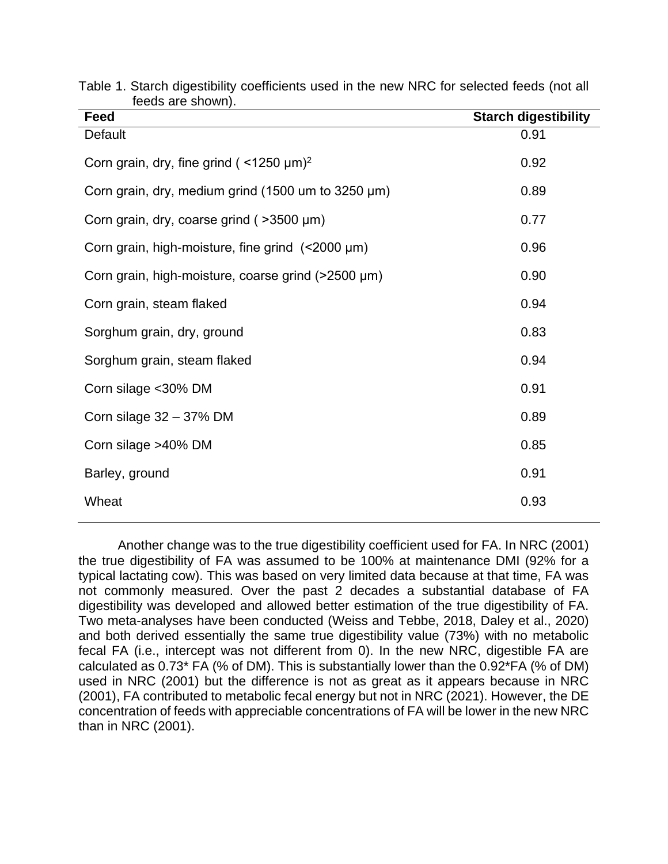| $10000$ and $010$ $11111$<br>Feed                          | <b>Starch digestibility</b> |
|------------------------------------------------------------|-----------------------------|
| Default                                                    | 0.91                        |
| Corn grain, dry, fine grind ( $\leq$ 1250 µm) <sup>2</sup> | 0.92                        |
| Corn grain, dry, medium grind (1500 um to $3250 \mu m$ )   | 0.89                        |
| Corn grain, dry, coarse grind (>3500 µm)                   | 0.77                        |
| Corn grain, high-moisture, fine grind $($ < 2000 $\mu$ m)  | 0.96                        |
| Corn grain, high-moisture, coarse grind (>2500 µm)         | 0.90                        |
| Corn grain, steam flaked                                   | 0.94                        |
| Sorghum grain, dry, ground                                 | 0.83                        |
| Sorghum grain, steam flaked                                | 0.94                        |
| Corn silage <30% DM                                        | 0.91                        |
| Corn silage $32 - 37\%$ DM                                 | 0.89                        |
| Corn silage >40% DM                                        | 0.85                        |
| Barley, ground                                             | 0.91                        |
| Wheat                                                      | 0.93                        |

Table 1. Starch digestibility coefficients used in the new NRC for selected feeds (not all feeds are shown).

Another change was to the true digestibility coefficient used for FA. In NRC (2001) the true digestibility of FA was assumed to be 100% at maintenance DMI (92% for a typical lactating cow). This was based on very limited data because at that time, FA was not commonly measured. Over the past 2 decades a substantial database of FA digestibility was developed and allowed better estimation of the true digestibility of FA. Two meta-analyses have been conducted (Weiss and Tebbe, 2018, Daley et al., 2020) and both derived essentially the same true digestibility value (73%) with no metabolic fecal FA (i.e., intercept was not different from 0). In the new NRC, digestible FA are calculated as 0.73\* FA (% of DM). This is substantially lower than the 0.92\*FA (% of DM) used in NRC (2001) but the difference is not as great as it appears because in NRC (2001), FA contributed to metabolic fecal energy but not in NRC (2021). However, the DE concentration of feeds with appreciable concentrations of FA will be lower in the new NRC than in NRC (2001).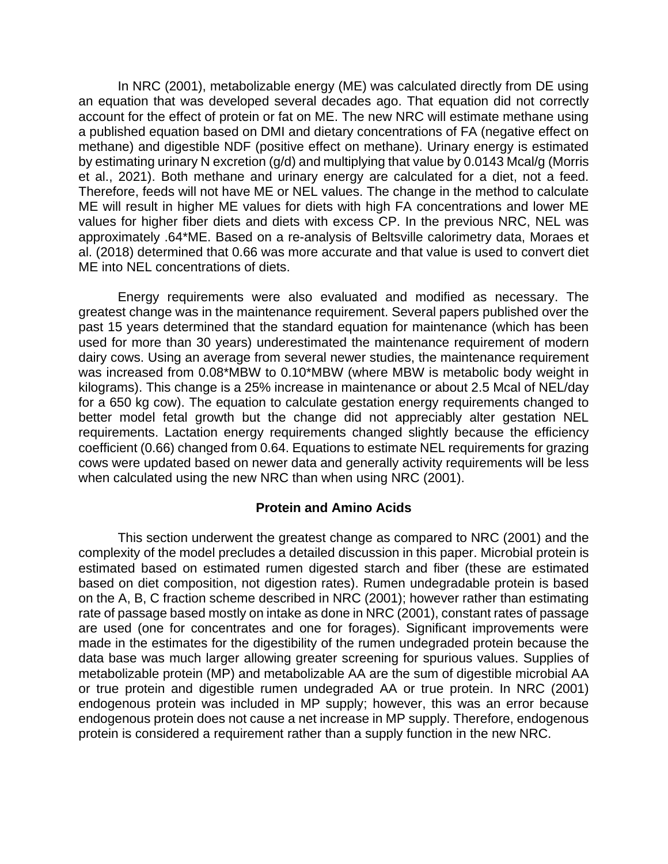In NRC (2001), metabolizable energy (ME) was calculated directly from DE using an equation that was developed several decades ago. That equation did not correctly account for the effect of protein or fat on ME. The new NRC will estimate methane using a published equation based on DMI and dietary concentrations of FA (negative effect on methane) and digestible NDF (positive effect on methane). Urinary energy is estimated by estimating urinary N excretion (g/d) and multiplying that value by 0.0143 Mcal/g (Morris et al., 2021). Both methane and urinary energy are calculated for a diet, not a feed. Therefore, feeds will not have ME or NEL values. The change in the method to calculate ME will result in higher ME values for diets with high FA concentrations and lower ME values for higher fiber diets and diets with excess CP. In the previous NRC, NEL was approximately .64\*ME. Based on a re-analysis of Beltsville calorimetry data, Moraes et al. (2018) determined that 0.66 was more accurate and that value is used to convert diet ME into NEL concentrations of diets.

Energy requirements were also evaluated and modified as necessary. The greatest change was in the maintenance requirement. Several papers published over the past 15 years determined that the standard equation for maintenance (which has been used for more than 30 years) underestimated the maintenance requirement of modern dairy cows. Using an average from several newer studies, the maintenance requirement was increased from 0.08\*MBW to 0.10\*MBW (where MBW is metabolic body weight in kilograms). This change is a 25% increase in maintenance or about 2.5 Mcal of NEL/day for a 650 kg cow). The equation to calculate gestation energy requirements changed to better model fetal growth but the change did not appreciably alter gestation NEL requirements. Lactation energy requirements changed slightly because the efficiency coefficient (0.66) changed from 0.64. Equations to estimate NEL requirements for grazing cows were updated based on newer data and generally activity requirements will be less when calculated using the new NRC than when using NRC (2001).

## **Protein and Amino Acids**

This section underwent the greatest change as compared to NRC (2001) and the complexity of the model precludes a detailed discussion in this paper. Microbial protein is estimated based on estimated rumen digested starch and fiber (these are estimated based on diet composition, not digestion rates). Rumen undegradable protein is based on the A, B, C fraction scheme described in NRC (2001); however rather than estimating rate of passage based mostly on intake as done in NRC (2001), constant rates of passage are used (one for concentrates and one for forages). Significant improvements were made in the estimates for the digestibility of the rumen undegraded protein because the data base was much larger allowing greater screening for spurious values. Supplies of metabolizable protein (MP) and metabolizable AA are the sum of digestible microbial AA or true protein and digestible rumen undegraded AA or true protein. In NRC (2001) endogenous protein was included in MP supply; however, this was an error because endogenous protein does not cause a net increase in MP supply. Therefore, endogenous protein is considered a requirement rather than a supply function in the new NRC.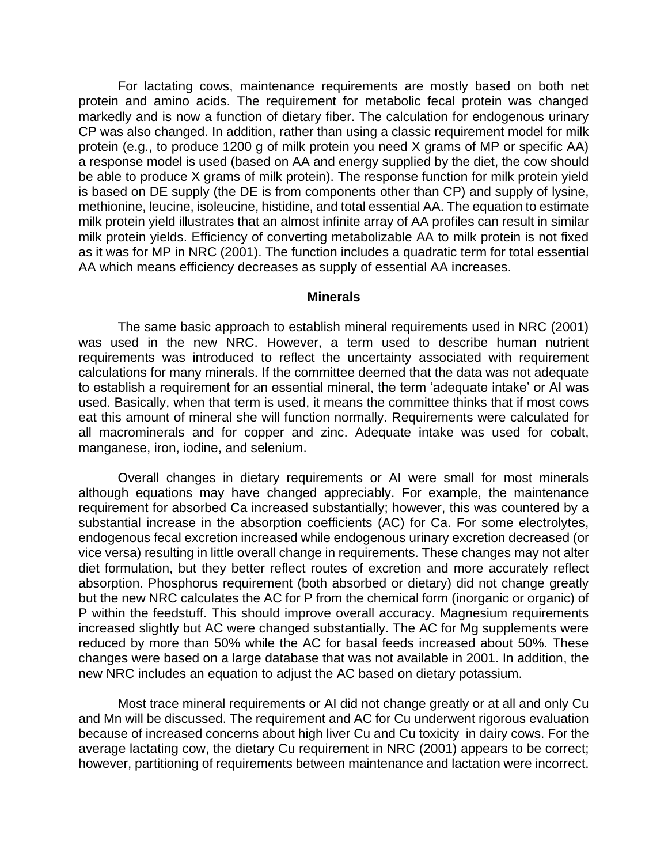For lactating cows, maintenance requirements are mostly based on both net protein and amino acids. The requirement for metabolic fecal protein was changed markedly and is now a function of dietary fiber. The calculation for endogenous urinary CP was also changed. In addition, rather than using a classic requirement model for milk protein (e.g., to produce 1200 g of milk protein you need X grams of MP or specific AA) a response model is used (based on AA and energy supplied by the diet, the cow should be able to produce X grams of milk protein). The response function for milk protein yield is based on DE supply (the DE is from components other than CP) and supply of lysine, methionine, leucine, isoleucine, histidine, and total essential AA. The equation to estimate milk protein yield illustrates that an almost infinite array of AA profiles can result in similar milk protein yields. Efficiency of converting metabolizable AA to milk protein is not fixed as it was for MP in NRC (2001). The function includes a quadratic term for total essential AA which means efficiency decreases as supply of essential AA increases.

#### **Minerals**

The same basic approach to establish mineral requirements used in NRC (2001) was used in the new NRC. However, a term used to describe human nutrient requirements was introduced to reflect the uncertainty associated with requirement calculations for many minerals. If the committee deemed that the data was not adequate to establish a requirement for an essential mineral, the term 'adequate intake' or AI was used. Basically, when that term is used, it means the committee thinks that if most cows eat this amount of mineral she will function normally. Requirements were calculated for all macrominerals and for copper and zinc. Adequate intake was used for cobalt, manganese, iron, iodine, and selenium.

Overall changes in dietary requirements or AI were small for most minerals although equations may have changed appreciably. For example, the maintenance requirement for absorbed Ca increased substantially; however, this was countered by a substantial increase in the absorption coefficients (AC) for Ca. For some electrolytes, endogenous fecal excretion increased while endogenous urinary excretion decreased (or vice versa) resulting in little overall change in requirements. These changes may not alter diet formulation, but they better reflect routes of excretion and more accurately reflect absorption. Phosphorus requirement (both absorbed or dietary) did not change greatly but the new NRC calculates the AC for P from the chemical form (inorganic or organic) of P within the feedstuff. This should improve overall accuracy. Magnesium requirements increased slightly but AC were changed substantially. The AC for Mg supplements were reduced by more than 50% while the AC for basal feeds increased about 50%. These changes were based on a large database that was not available in 2001. In addition, the new NRC includes an equation to adjust the AC based on dietary potassium.

Most trace mineral requirements or AI did not change greatly or at all and only Cu and Mn will be discussed. The requirement and AC for Cu underwent rigorous evaluation because of increased concerns about high liver Cu and Cu toxicity in dairy cows. For the average lactating cow, the dietary Cu requirement in NRC (2001) appears to be correct; however, partitioning of requirements between maintenance and lactation were incorrect.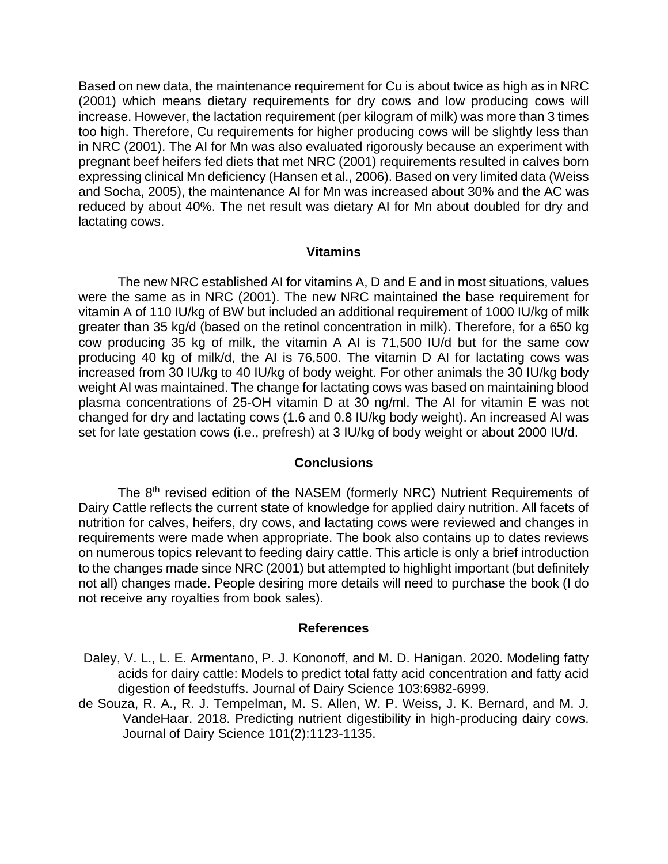Based on new data, the maintenance requirement for Cu is about twice as high as in NRC (2001) which means dietary requirements for dry cows and low producing cows will increase. However, the lactation requirement (per kilogram of milk) was more than 3 times too high. Therefore, Cu requirements for higher producing cows will be slightly less than in NRC (2001). The AI for Mn was also evaluated rigorously because an experiment with pregnant beef heifers fed diets that met NRC (2001) requirements resulted in calves born expressing clinical Mn deficiency (Hansen et al., 2006). Based on very limited data (Weiss and Socha, 2005), the maintenance AI for Mn was increased about 30% and the AC was reduced by about 40%. The net result was dietary AI for Mn about doubled for dry and lactating cows.

#### **Vitamins**

The new NRC established AI for vitamins A, D and E and in most situations, values were the same as in NRC (2001). The new NRC maintained the base requirement for vitamin A of 110 IU/kg of BW but included an additional requirement of 1000 IU/kg of milk greater than 35 kg/d (based on the retinol concentration in milk). Therefore, for a 650 kg cow producing 35 kg of milk, the vitamin A AI is 71,500 IU/d but for the same cow producing 40 kg of milk/d, the AI is 76,500. The vitamin D AI for lactating cows was increased from 30 IU/kg to 40 IU/kg of body weight. For other animals the 30 IU/kg body weight AI was maintained. The change for lactating cows was based on maintaining blood plasma concentrations of 25-OH vitamin D at 30 ng/ml. The AI for vitamin E was not changed for dry and lactating cows (1.6 and 0.8 IU/kg body weight). An increased AI was set for late gestation cows (i.e., prefresh) at 3 IU/kg of body weight or about 2000 IU/d.

## **Conclusions**

The 8<sup>th</sup> revised edition of the NASEM (formerly NRC) Nutrient Requirements of Dairy Cattle reflects the current state of knowledge for applied dairy nutrition. All facets of nutrition for calves, heifers, dry cows, and lactating cows were reviewed and changes in requirements were made when appropriate. The book also contains up to dates reviews on numerous topics relevant to feeding dairy cattle. This article is only a brief introduction to the changes made since NRC (2001) but attempted to highlight important (but definitely not all) changes made. People desiring more details will need to purchase the book (I do not receive any royalties from book sales).

#### **References**

- Daley, V. L., L. E. Armentano, P. J. Kononoff, and M. D. Hanigan. 2020. Modeling fatty acids for dairy cattle: Models to predict total fatty acid concentration and fatty acid digestion of feedstuffs. Journal of Dairy Science 103:6982-6999.
- de Souza, R. A., R. J. Tempelman, M. S. Allen, W. P. Weiss, J. K. Bernard, and M. J. VandeHaar. 2018. Predicting nutrient digestibility in high-producing dairy cows. Journal of Dairy Science 101(2):1123-1135.